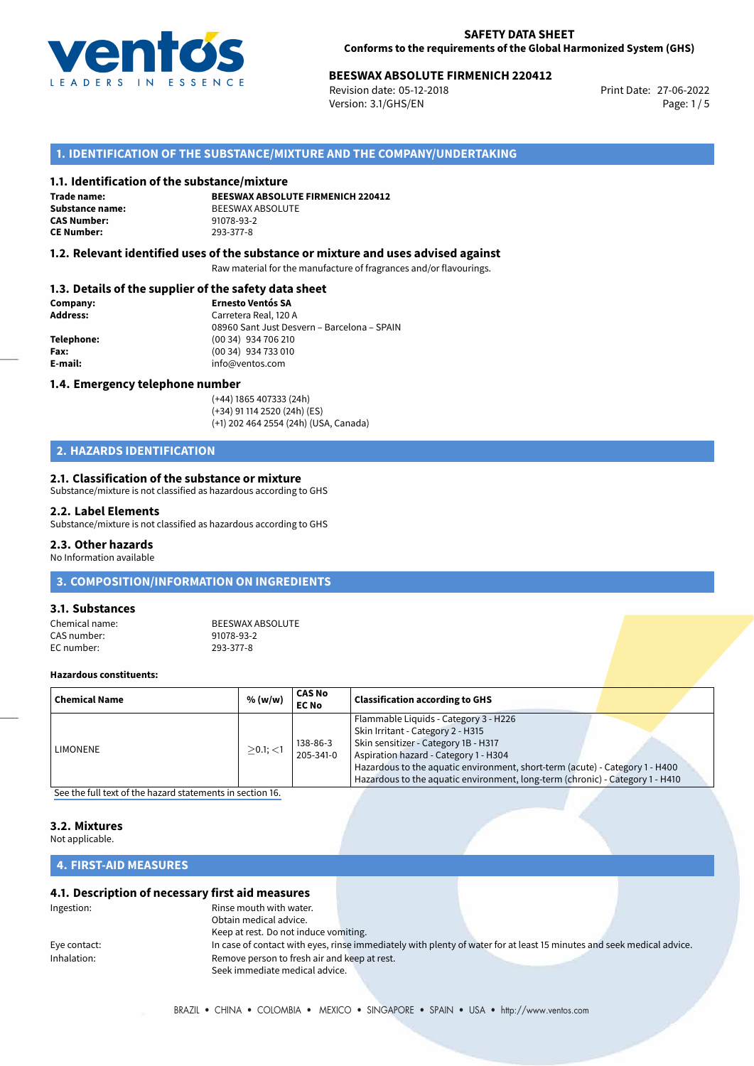

# **BEESWAX ABSOLUTE FIRMENICH 220412**<br>Revision date: 05-12-2018<br>Print Date: 27-06-2022

Revision date: 05-12-2018 Version: 3.1/GHS/EN Page: 1 / 5

# **1. IDENTIFICATION OF THE SUBSTANCE/MIXTURE AND THE COMPANY/UNDERTAKING**

### **1.1. Identification of the substance/mixture**

**Trade name: CAS Number: CE Number:** 293-377-8

**BEESWAX ABSOLUTE FIRMENICH 220412 Substance name:** BEESWAX ABSOLUTE<br> **CAS Number:** 91078-93-2

### **1.2. Relevant identified uses of the substance or mixture and uses advised against**

Raw material for the manufacture of fragrances and/or flavourings.

### **1.3. Details of the supplier of the safety data sheet**

| Company:        | <b>Ernesto Ventós SA</b>                    |
|-----------------|---------------------------------------------|
| <b>Address:</b> | Carretera Real, 120 A                       |
|                 | 08960 Sant Just Desvern - Barcelona - SPAIN |
| Telephone:      | (00 34) 934 706 210                         |
| Fax:            | (00 34) 934 733 010                         |
| E-mail:         | info@ventos.com                             |
|                 |                                             |

### **1.4. Emergency telephone number**

(+44) 1865 407333 (24h) (+34) 91 114 2520 (24h) (ES) (+1) 202 464 2554 (24h) (USA, Canada)

# **2. HAZARDS IDENTIFICATION**

### **2.1. Classification of the substance or mixture**

Substance/mixture is not classified as hazardous according to GHS

### **2.2. Label Elements**

Substance/mixture is not classified as hazardous according to GHS

### **2.3. Other hazards**

No Information available

# **3. COMPOSITION/INFORMATION ON INGREDIENTS**

## **3.1. Substances**

Chemical name: BEESWAX ABSOLUTE<br>CAS number: 91078-93-2 CAS number: 91078-93-2<br>
FC number: 923-377-8 EC number:

### **Hazardous constituents:**

| Chemical Name   | % (w/w)        | <b>CAS No</b><br><b>EC No</b> | <b>Classification according to GHS</b>                                                                                                                                                                                                                                                                                       |
|-----------------|----------------|-------------------------------|------------------------------------------------------------------------------------------------------------------------------------------------------------------------------------------------------------------------------------------------------------------------------------------------------------------------------|
| <b>LIMONENE</b> | $>0.1$ ; $<$ 1 | 138-86-3<br>205-341-0         | Flammable Liquids - Category 3 - H226<br>Skin Irritant - Category 2 - H315<br>Skin sensitizer - Category 1B - H317<br>Aspiration hazard - Category 1 - H304<br>Hazardous to the aquatic environment, short-term (acute) - Category 1 - H400<br>Hazardous to the aquatic environment, long-term (chronic) - Category 1 - H410 |

[See the full text of the hazard statements in section 16.](#page--1-0)

# **3.2. Mixtures**

Not applicable.

# **4. FIRST-AID MEASURES**

## **4.1. Description of necessary first aid measures**

| Ingestion:   | Rinse mouth with water.                      |                                                                                                                       |  |
|--------------|----------------------------------------------|-----------------------------------------------------------------------------------------------------------------------|--|
|              | Obtain medical advice.                       |                                                                                                                       |  |
|              | Keep at rest. Do not induce vomiting.        |                                                                                                                       |  |
| Eye contact: |                                              | In case of contact with eyes, rinse immediately with plenty of water for at least 15 minutes and seek medical advice. |  |
| Inhalation:  | Remove person to fresh air and keep at rest. |                                                                                                                       |  |
|              | Seek immediate medical advice.               |                                                                                                                       |  |
|              |                                              |                                                                                                                       |  |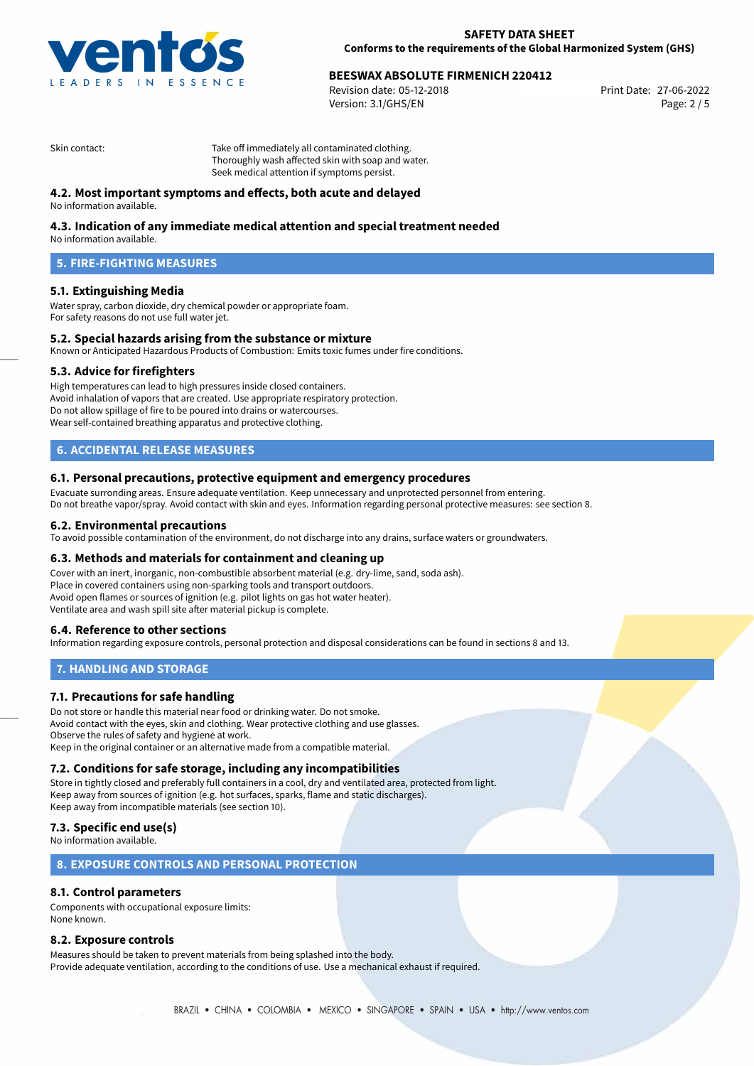

# **BEESWAX ABSOLUTE FIRMENICH 220412**<br> **27-06-2022 Bevision date: 05-12-2018**

Revision date: 05-12-2018 Version: 3.1/GHS/EN Page: 2 / 5

Skin contact: Take off immediately all contaminated clothing. Thoroughly wash affected skin with soap and water. Seek medical attention if symptoms persist.

## **4.2. Most important symptoms and effects, both acute and delayed**

No information available.

## **4.3. Indication of any immediate medical attention and special treatment needed**

No information available.

# **5. FIRE-FIGHTING MEASURES**

### **5.1. Extinguishing Media**

Water spray, carbon dioxide, dry chemical powder or appropriate foam. For safety reasons do not use full water jet.

### **5.2. Special hazards arising from the substance or mixture**

Known or Anticipated Hazardous Products of Combustion: Emits toxic fumes under fire conditions.

### **5.3. Advice for firefighters**

High temperatures can lead to high pressures inside closed containers. Avoid inhalation of vapors that are created. Use appropriate respiratory protection. Do not allow spillage of fire to be poured into drains or watercourses. Wear self-contained breathing apparatus and protective clothing.

# **6. ACCIDENTAL RELEASE MEASURES**

### **6.1. Personal precautions, protective equipment and emergency procedures**

Evacuate surronding areas. Ensure adequate ventilation. Keep unnecessary and unprotected personnel from entering. Do not breathe vapor/spray. Avoid contact with skin and eyes. Information regarding personal protective measures: see section 8.

### **6.2. Environmental precautions**

To avoid possible contamination of the environment, do not discharge into any drains, surface waters or groundwaters.

### **6.3. Methods and materials for containment and cleaning up**

Cover with an inert, inorganic, non-combustible absorbent material (e.g. dry-lime, sand, soda ash). Place in covered containers using non-sparking tools and transport outdoors. Avoid open flames or sources of ignition (e.g. pilot lights on gas hot water heater). Ventilate area and wash spill site after material pickup is complete.

### **6.4. Reference to other sections**

Information regarding exposure controls, personal protection and disposal considerations can be found in sections 8 and 13.

### **7. HANDLING AND STORAGE**

### **7.1. Precautions for safe handling**

Do not store or handle this material near food or drinking water. Do not smoke. Avoid contact with the eyes, skin and clothing. Wear protective clothing and use glasses. Observe the rules of safety and hygiene at work. Keep in the original container or an alternative made from a compatible material.

### **7.2. Conditions for safe storage, including any incompatibilities**

Store in tightly closed and preferably full containers in a cool, dry and ventilated area, protected from light. Keep away from sources of ignition (e.g. hot surfaces, sparks, flame and static discharges). Keep away from incompatible materials (see section 10).

## **7.3. Specific end use(s)**

No information available.

## **8. EXPOSURE CONTROLS AND PERSONAL PROTECTION**

## **8.1. Control parameters**

Components with occupational exposure limits: None known.

### **8.2. Exposure controls**

Measures should be taken to prevent materials from being splashed into the body. Provide adequate ventilation, according to the conditions of use. Use a mechanical exhaust if required.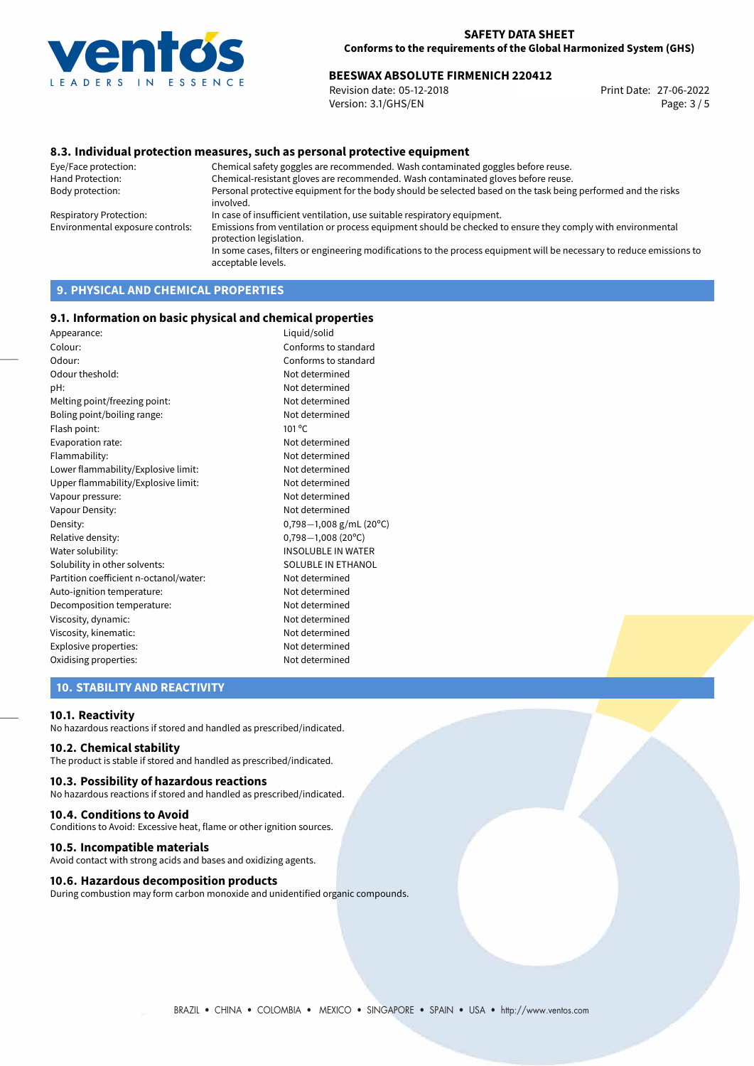

# **BEESWAX ABSOLUTE FIRMENICH 220412**<br>Revision date: 05-12-2018<br>Print Date: 27-06-2022

Revision date: 05-12-2018 Version: 3.1/GHS/EN Page: 3 / 5

### **8.3. Individual protection measures, such as personal protective equipment**

Eye/Face protection: Chemical safety goggles are recommended. Wash contaminated goggles before reuse. Chemical-resistant gloves are recommended. Wash contaminated gloves before reuse. Body protection: Personal protective equipment for the body should be selected based on the task being performed and the risks involved. Respiratory Protection: In case of insufficient ventilation, use suitable respiratory equipment. Environmental exposure controls: Emissions from ventilation or process equipment should be checked to ensure they comply with environmental protection legislation. In some cases, filters or engineering modifications to the process equipment will be necessary to reduce emissions to acceptable levels.

# **9. PHYSICAL AND CHEMICAL PROPERTIES**

### **9.1. Information on basic physical and chemical properties**

| Liquid/solid              |
|---------------------------|
| Conforms to standard      |
| Conforms to standard      |
| Not determined            |
| Not determined            |
| Not determined            |
| Not determined            |
| $101^{\circ}$ C           |
| Not determined            |
| Not determined            |
| Not determined            |
| Not determined            |
| Not determined            |
| Not determined            |
| $0,798-1,008$ g/mL (20°C) |
| $0,798 - 1,008$ (20°C)    |
| <b>INSOLUBLE IN WATER</b> |
| SOLUBLE IN ETHANOL        |
| Not determined            |
| Not determined            |
| Not determined            |
| Not determined            |
| Not determined            |
| Not determined            |
| Not determined            |
|                           |

## **10. STABILITY AND REACTIVITY**

### **10.1. Reactivity**

No hazardous reactions if stored and handled as prescribed/indicated.

### **10.2. Chemical stability**

The product is stable if stored and handled as prescribed/indicated.

### **10.3. Possibility of hazardous reactions**

No hazardous reactions if stored and handled as prescribed/indicated.

#### **10.4. Conditions to Avoid**

Conditions to Avoid: Excessive heat, flame or other ignition sources.

### **10.5. Incompatible materials**

Avoid contact with strong acids and bases and oxidizing agents.

### **10.6. Hazardous decomposition products**

During combustion may form carbon monoxide and unidentified organic compounds.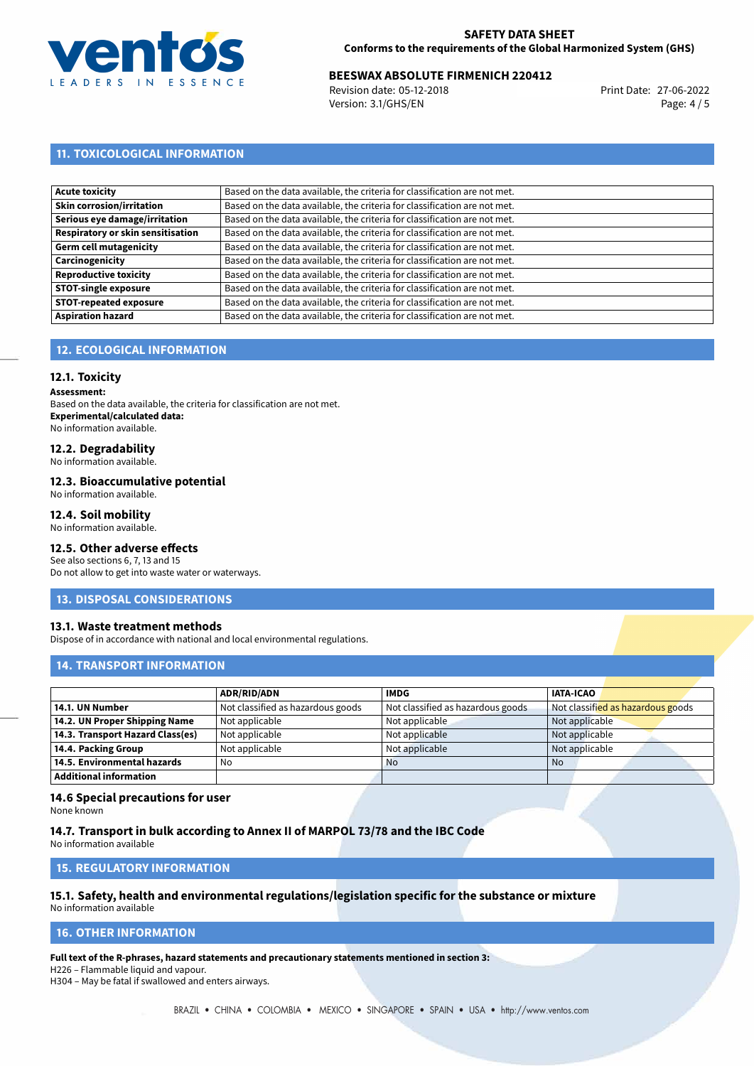

# **BEESWAX ABSOLUTE FIRMENICH 220412**<br>Revision date: 05-12-2018<br>Print Date: 27-06-2022

Revision date: 05-12-2018 Version: 3.1/GHS/EN Page: 4 / 5

# **11. TOXICOLOGICAL INFORMATION**

| Acute toxicity                    | Based on the data available, the criteria for classification are not met. |
|-----------------------------------|---------------------------------------------------------------------------|
| Skin corrosion/irritation         | Based on the data available, the criteria for classification are not met. |
| Serious eye damage/irritation     | Based on the data available, the criteria for classification are not met. |
| Respiratory or skin sensitisation | Based on the data available, the criteria for classification are not met. |
| Germ cell mutagenicity            | Based on the data available, the criteria for classification are not met. |
| Carcinogenicity                   | Based on the data available, the criteria for classification are not met. |
| Reproductive toxicity             | Based on the data available, the criteria for classification are not met. |
| <b>STOT-single exposure</b>       | Based on the data available, the criteria for classification are not met. |
| <b>STOT-repeated exposure</b>     | Based on the data available, the criteria for classification are not met. |
| <b>Aspiration hazard</b>          | Based on the data available, the criteria for classification are not met. |

# **12. ECOLOGICAL INFORMATION**

### **12.1. Toxicity**

**Assessment:**

Based on the data available, the criteria for classification are not met. **Experimental/calculated data:** No information available.

# **12.2. Degradability**

No information available.

#### **12.3. Bioaccumulative potential**

No information available.

### **12.4. Soil mobility**

No information available.

# **12.5. Other adverse effects**

See also sections 6, 7, 13 and 15 Do not allow to get into waste water or waterways.

### **13. DISPOSAL CONSIDERATIONS**

### **13.1. Waste treatment methods**

Dispose of in accordance with national and local environmental regulations.

# **14. TRANSPORT INFORMATION**

|                                  | <b>ADR/RID/ADN</b>                | <b>IMDG</b>                       | <b>IATA-ICAO</b>                  |
|----------------------------------|-----------------------------------|-----------------------------------|-----------------------------------|
| 14.1. UN Number                  | Not classified as hazardous goods | Not classified as hazardous goods | Not classified as hazardous goods |
| 14.2. UN Proper Shipping Name    | Not applicable                    | Not applicable                    | Not applicable                    |
| 14.3. Transport Hazard Class(es) | Not applicable                    | Not applicable                    | Not applicable                    |
| 14.4. Packing Group              | Not applicable                    | Not applicable                    | Not applicable                    |
| 14.5. Environmental hazards      | No                                | <b>No</b>                         | No                                |
| <b>Additional information</b>    |                                   |                                   |                                   |

### **14.6 Special precautions for user**

None known

### **14.7. Transport in bulk according to Annex II of MARPOL 73/78 and the IBC Code**

No information available

### **15. REGULATORY INFORMATION**

# **15.1. Safety, health and environmental regulations/legislation specific for the substance or mixture**

No information available

### **16. OTHER INFORMATION**

**Full text of the R-phrases, hazard statements and precautionary statements mentioned in section 3:**

H226 – Flammable liquid and vapour.